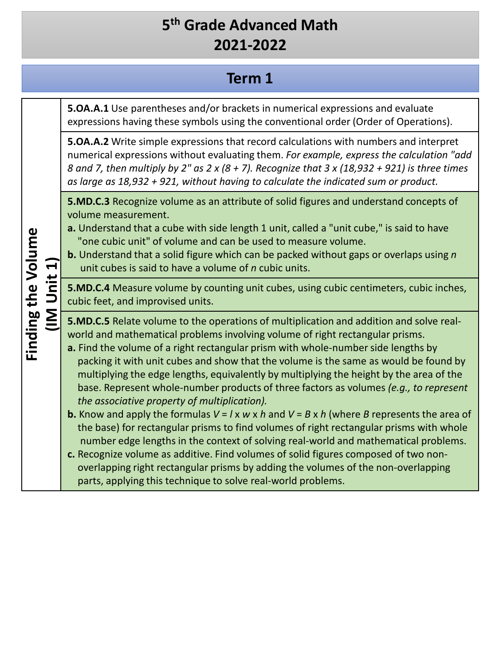#### **Term 1**

**5.OA.A.1** Use parentheses and/or brackets in numerical expressions and evaluate expressions having these symbols using the conventional order (Order of Operations).

**5.OA.A.2** Write simple expressions that record calculations with numbers and interpret numerical expressions without evaluating them. *For example, express the calculation "add 8 and 7, then multiply by 2" as 2 x (8 + 7). Recognize that 3 x (18,932 + 921) is three times as large as 18,932 + 921, without having to calculate the indicated sum or product.*

**5.MD.C.3** Recognize volume as an attribute of solid figures and understand concepts of volume measurement.

**a.** Understand that a cube with side length 1 unit, called a "unit cube," is said to have "one cubic unit" of volume and can be used to measure volume.

**b.** Understand that a solid figure which can be packed without gaps or overlaps using *n*  unit cubes is said to have a volume of *n* cubic units.

**5.MD.C.4** Measure volume by counting unit cubes, using cubic centimeters, cubic inches, cubic feet, and improvised units.

**5.MD.C.5** Relate volume to the operations of multiplication and addition and solve realworld and mathematical problems involving volume of right rectangular prisms.

**a.** Find the volume of a right rectangular prism with whole-number side lengths by packing it with unit cubes and show that the volume is the same as would be found by multiplying the edge lengths, equivalently by multiplying the height by the area of the base. Represent whole-number products of three factors as volumes *(e.g., to represent the associative property of multiplication).*

**b.** Know and apply the formulas  $V = I \times W \times h$  and  $V = B \times h$  (where *B* represents the area of the base) for rectangular prisms to find volumes of right rectangular prisms with whole number edge lengths in the context of solving real-world and mathematical problems.

**c.** Recognize volume as additive. Find volumes of solid figures composed of two nonoverlapping right rectangular prisms by adding the volumes of the non-overlapping parts, applying this technique to solve real-world problems.

**Finding the Volume**  Finding the Volume **(IM Unit 1)** IM Unit 1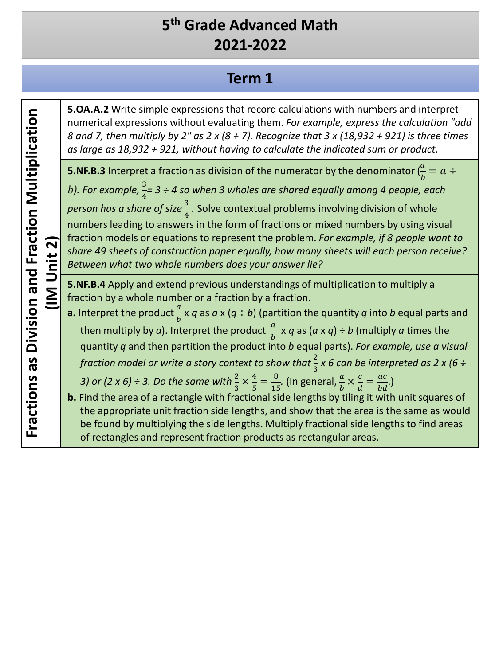#### **Term 1**

**5.OA.A.2** Write simple expressions that record calculations with numbers and interpret numerical expressions without evaluating them. *For example, express the calculation "add 8 and 7, then multiply by 2" as 2 x (8 + 7). Recognize that 3 x (18,932 + 921) is three times as large as 18,932 + 921, without having to calculate the indicated sum or product.*

**5.NF.B.3** Interpret a fraction as division of the numerator by the denominator  $(\frac{a}{b} = a \div \frac{a}{b})$ b). For example,  $\frac{3}{4}$  = 3 ÷ 4 so when 3 wholes are shared equally among 4 people, each *person has a share of size*  $\frac{3}{4}$ . Solve contextual problems involving division of whole numbers leading to answers in the form of fractions or mixed numbers by using visual fraction models or equations to represent the problem. *For example, if 8 people want to share 49 sheets of construction paper equally, how many sheets will each person receive? Between what two whole numbers does your answer lie?*

**5.NF.B.4** Apply and extend previous understandings of multiplication to multiply a fraction by a whole number or a fraction by a fraction.

- **a.** Interpret the product  $\frac{a}{b}$  x q as a x (q ÷ b) (partition the quantity q into b equal parts and then multiply by *a*). Interpret the product  $\frac{a}{b} \times q$  as  $(a \times q) \div b$  (multiply *a* times the quantity *q* and then partition the product into *b* equal parts). *For example, use a visual fraction model or write a story context to show that*  $\frac{2}{3}$  x 6 can be interpreted as 2 x (6 ÷ 3) or (2 x 6) ÷ 3. Do the same with  $\frac{2}{3} \times \frac{4}{5} = \frac{8}{15}$ . (In general,  $\frac{a}{b} \times \frac{c}{d} = \frac{ac}{bd}$ .)
- **b.** Find the area of a rectangle with fractional side lengths by tiling it with unit squares of the appropriate unit fraction side lengths, and show that the area is the same as would be found by multiplying the side lengths. Multiply fractional side lengths to find areas of rectangles and represent fraction products as rectangular areas.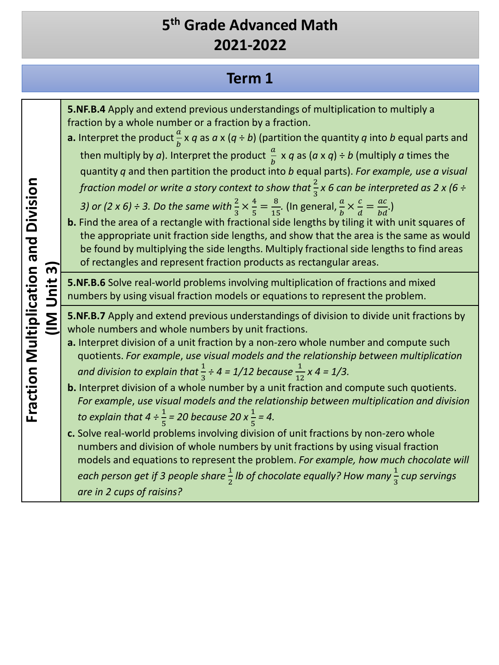## **Term 1**

| $\overline{\mathsf{c}}$<br><b>IM Unit</b> | 5. NF. B. 4 Apply and extend previous understandings of multiplication to multiply a<br>fraction by a whole number or a fraction by a fraction.<br><b>a.</b> Interpret the product $\frac{a}{b} \times q$ as $a \times (q \div b)$ (partition the quantity q into b equal parts and<br>then multiply by a). Interpret the product $\frac{a}{b} \times q$ as $(a \times q) \div b$ (multiply a times the<br>quantity q and then partition the product into b equal parts). For example, use a visual<br>fraction model or write a story context to show that $\frac{2}{3}x$ 6 can be interpreted as 2 x (6 ÷<br>3) or (2 x 6) ÷ 3. Do the same with $\frac{2}{3} \times \frac{4}{5} = \frac{8}{15}$ . (In general, $\frac{a}{b} \times \frac{c}{d} = \frac{ac}{bd}$ .)<br>b. Find the area of a rectangle with fractional side lengths by tiling it with unit squares of<br>the appropriate unit fraction side lengths, and show that the area is the same as would<br>be found by multiplying the side lengths. Multiply fractional side lengths to find areas<br>of rectangles and represent fraction products as rectangular areas. |
|-------------------------------------------|---------------------------------------------------------------------------------------------------------------------------------------------------------------------------------------------------------------------------------------------------------------------------------------------------------------------------------------------------------------------------------------------------------------------------------------------------------------------------------------------------------------------------------------------------------------------------------------------------------------------------------------------------------------------------------------------------------------------------------------------------------------------------------------------------------------------------------------------------------------------------------------------------------------------------------------------------------------------------------------------------------------------------------------------------------------------------------------------------------------------------------------|
|                                           | 5.NF.B.6 Solve real-world problems involving multiplication of fractions and mixed<br>numbers by using visual fraction models or equations to represent the problem.                                                                                                                                                                                                                                                                                                                                                                                                                                                                                                                                                                                                                                                                                                                                                                                                                                                                                                                                                                  |
|                                           | 5.NF.B.7 Apply and extend previous understandings of division to divide unit fractions by<br>whole numbers and whole numbers by unit fractions.<br>a. Interpret division of a unit fraction by a non-zero whole number and compute such<br>quotients. For example, use visual models and the relationship between multiplication<br>and division to explain that $\frac{1}{3} \div 4 = 1/12$ because $\frac{1}{12}$ x 4 = 1/3.<br>b. Interpret division of a whole number by a unit fraction and compute such quotients.<br>For example, use visual models and the relationship between multiplication and division                                                                                                                                                                                                                                                                                                                                                                                                                                                                                                                   |
|                                           | to explain that $4 \div \frac{1}{5} = 20$ because 20 x $\frac{1}{5} = 4$ .<br>c. Solve real-world problems involving division of unit fractions by non-zero whole<br>numbers and division of whole numbers by unit fractions by using visual fraction<br>models and equations to represent the problem. For example, how much chocolate will<br>each person get if 3 people share $\frac{1}{2}$ lb of chocolate equally? How many $\frac{1}{3}$ cup servings<br>are in 2 cups of raisins?                                                                                                                                                                                                                                                                                                                                                                                                                                                                                                                                                                                                                                             |

Fraction Multiplication and Division **Fraction Multiplication and Division**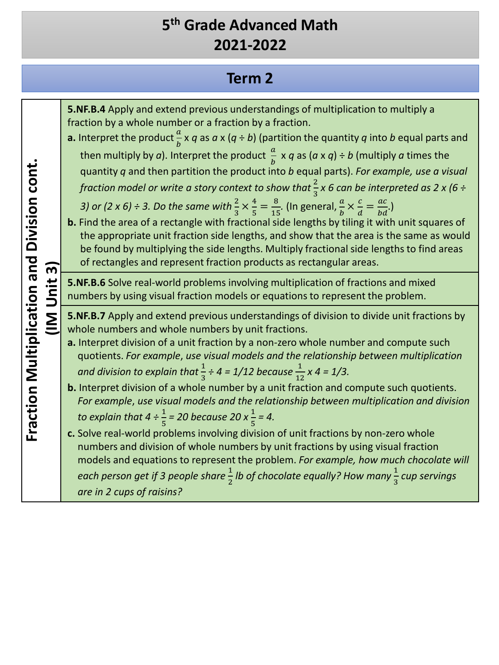# **Term 2**

| 5. NF. B. 4 Apply and extend previous understandings of multiplication to multiply a<br>fraction by a whole number or a fraction by a fraction.<br><b>a.</b> Interpret the product $\frac{a}{b} \times q$ as $a \times (q \div b)$ (partition the quantity q into b equal parts and<br>then multiply by a). Interpret the product $\frac{a}{b} \times q$ as $(a \times q) \div b$ (multiply a times the<br>quantity q and then partition the product into b equal parts). For example, use a visual<br>fraction model or write a story context to show that $\frac{2}{3}x$ 6 can be interpreted as 2 x (6 ÷<br>3) or (2 x 6) ÷ 3. Do the same with $\frac{2}{3} \times \frac{4}{5} = \frac{8}{15}$ . (In general, $\frac{a}{b} \times \frac{c}{d} = \frac{ac}{bd}$ .)<br>b. Find the area of a rectangle with fractional side lengths by tiling it with unit squares of<br>the appropriate unit fraction side lengths, and show that the area is the same as would<br>be found by multiplying the side lengths. Multiply fractional side lengths to find areas<br>of rectangles and represent fraction products as rectangular areas. |
|---------------------------------------------------------------------------------------------------------------------------------------------------------------------------------------------------------------------------------------------------------------------------------------------------------------------------------------------------------------------------------------------------------------------------------------------------------------------------------------------------------------------------------------------------------------------------------------------------------------------------------------------------------------------------------------------------------------------------------------------------------------------------------------------------------------------------------------------------------------------------------------------------------------------------------------------------------------------------------------------------------------------------------------------------------------------------------------------------------------------------------------|
| 5.NF.B.6 Solve real-world problems involving multiplication of fractions and mixed<br>numbers by using visual fraction models or equations to represent the problem.                                                                                                                                                                                                                                                                                                                                                                                                                                                                                                                                                                                                                                                                                                                                                                                                                                                                                                                                                                  |
| 5.NF.B.7 Apply and extend previous understandings of division to divide unit fractions by<br>whole numbers and whole numbers by unit fractions.<br>a. Interpret division of a unit fraction by a non-zero whole number and compute such<br>quotients. For example, use visual models and the relationship between multiplication<br>and division to explain that $\frac{1}{3} \div 4 = 1/12$ because $\frac{1}{12}$ x 4 = 1/3.<br>b. Interpret division of a whole number by a unit fraction and compute such quotients.                                                                                                                                                                                                                                                                                                                                                                                                                                                                                                                                                                                                              |
| For example, use visual models and the relationship between multiplication and division<br>to explain that $4 \div \frac{1}{5} = 20$ because 20 x $\frac{1}{5} = 4$ .                                                                                                                                                                                                                                                                                                                                                                                                                                                                                                                                                                                                                                                                                                                                                                                                                                                                                                                                                                 |
| c. Solve real-world problems involving division of unit fractions by non-zero whole<br>numbers and division of whole numbers by unit fractions by using visual fraction<br>models and equations to represent the problem. For example, how much chocolate will<br>each person get if 3 people share $\frac{1}{2}$ lb of chocolate equally? How many $\frac{1}{3}$ cup servings<br>are in 2 cups of raisins?                                                                                                                                                                                                                                                                                                                                                                                                                                                                                                                                                                                                                                                                                                                           |
|                                                                                                                                                                                                                                                                                                                                                                                                                                                                                                                                                                                                                                                                                                                                                                                                                                                                                                                                                                                                                                                                                                                                       |

Fraction Multiplication and Division cont. **Fraction Multiplication and Division cont.**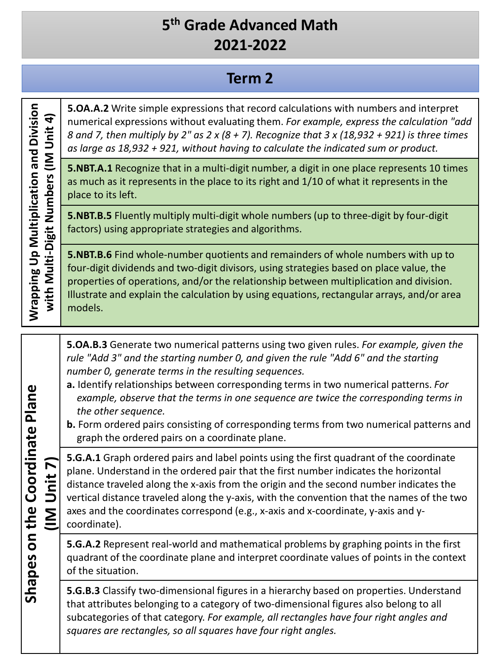### **Term 2**

**Wrapping Up Multiplication and Division**  Wrapping Up Multiplication and Division with Multi-Digit Numbers (IM Unit 4) **with Multi-Digit Numbers (IM Unit 4)**

**5.OA.A.2** Write simple expressions that record calculations with numbers and interpret numerical expressions without evaluating them. *For example, express the calculation "add 8 and 7, then multiply by 2" as 2 x (8 + 7). Recognize that 3 x (18,932 + 921) is three times as large as 18,932 + 921, without having to calculate the indicated sum or product.*

**5.NBT.A.1** Recognize that in a multi-digit number, a digit in one place represents 10 times as much as it represents in the place to its right and 1/10 of what it represents in the place to its left.

**5.NBT.B.5** Fluently multiply multi-digit whole numbers (up to three-digit by four-digit factors) using appropriate strategies and algorithms.

**5.NBT.B.6** Find whole-number quotients and remainders of whole numbers with up to four-digit dividends and two-digit divisors, using strategies based on place value, the properties of operations, and/or the relationship between multiplication and division. Illustrate and explain the calculation by using equations, rectangular arrays, and/or area models.

**5.OA.B.3** Generate two numerical patterns using two given rules. *For example, given the rule "Add 3" and the starting number 0, and given the rule "Add 6" and the starting number 0, generate terms in the resulting sequences.*

- **a.** Identify relationships between corresponding terms in two numerical patterns. *For example, observe that the terms in one sequence are twice the corresponding terms in the other sequence.*
- **b.** Form ordered pairs consisting of corresponding terms from two numerical patterns and graph the ordered pairs on a coordinate plane.

**5.G.A.1** Graph ordered pairs and label points using the first quadrant of the coordinate plane. Understand in the ordered pair that the first number indicates the horizontal distance traveled along the x-axis from the origin and the second number indicates the vertical distance traveled along the y-axis, with the convention that the names of the two axes and the coordinates correspond (e.g., x-axis and x-coordinate, y-axis and ycoordinate).

**5.G.A.2** Represent real-world and mathematical problems by graphing points in the first quadrant of the coordinate plane and interpret coordinate values of points in the context of the situation.

**5.G.B.3** Classify two-dimensional figures in a hierarchy based on properties. Understand that attributes belonging to a category of two-dimensional figures also belong to all subcategories of that category. *For example, all rectangles have four right angles and squares are rectangles, so all squares have four right angles.*

Shapes on the Coordinate Plane **Shapes on the Coordinate Plane (IM Unit 7)** (IM Unit 7)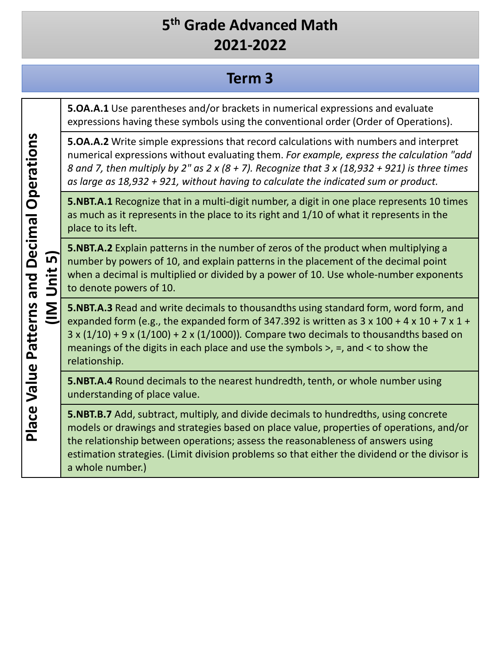#### **Term 3**

**5.OA.A.1** Use parentheses and/or brackets in numerical expressions and evaluate expressions having these symbols using the conventional order (Order of Operations).

**5.OA.A.2** Write simple expressions that record calculations with numbers and interpret numerical expressions without evaluating them. *For example, express the calculation "add 8 and 7, then multiply by 2" as 2 x (8 + 7). Recognize that 3 x (18,932 + 921) is three times as large as 18,932 + 921, without having to calculate the indicated sum or product.*

**5.NBT.A.1** Recognize that in a multi-digit number, a digit in one place represents 10 times as much as it represents in the place to its right and 1/10 of what it represents in the place to its left.

**5.NBT.A.2** Explain patterns in the number of zeros of the product when multiplying a number by powers of 10, and explain patterns in the placement of the decimal point when a decimal is multiplied or divided by a power of 10. Use whole-number exponents to denote powers of 10.

**5.NBT.A.3** Read and write decimals to thousandths using standard form, word form, and expanded form (e.g., the expanded form of 347.392 is written as  $3 \times 100 + 4 \times 10 + 7 \times 1 +$ 3 x (1/10) + 9 x (1/100) + 2 x (1/1000))*.* Compare two decimals to thousandths based on meanings of the digits in each place and use the symbols >, =, and < to show the relationship.

**5.NBT.A.4** Round decimals to the nearest hundredth, tenth, or whole number using understanding of place value.

**5.NBT.B.7** Add, subtract, multiply, and divide decimals to hundredths, using concrete models or drawings and strategies based on place value, properties of operations, and/or the relationship between operations; assess the reasonableness of answers using estimation strategies. (Limit division problems so that either the dividend or the divisor is a whole number.)

**Place Value Patterns and Decimal Operations Place Value Patterns and Decimal Operations (IM Unit 5)** <u>์ท</u> Unit  $\overline{\underline{\Sigma}}$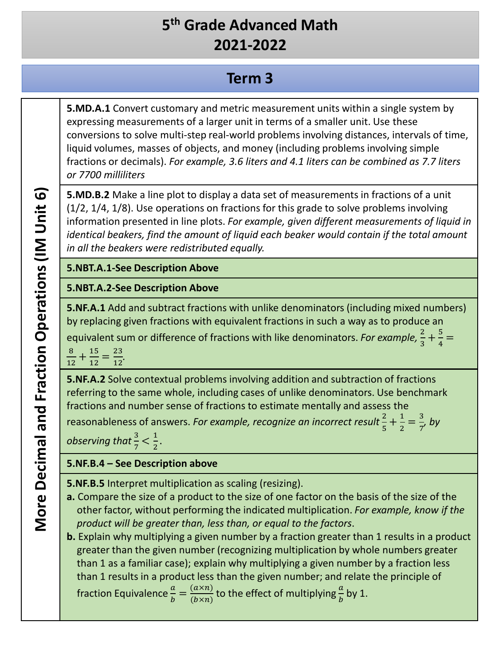### **Term 3**

**5.MD.A.1** Convert customary and metric measurement units within a single system by expressing measurements of a larger unit in terms of a smaller unit. Use these conversions to solve multi-step real-world problems involving distances, intervals of time, liquid volumes, masses of objects, and money (including problems involving simple fractions or decimals). *For example, 3.6 liters and 4.1 liters can be combined as 7.7 liters or 7700 milliliters*

**5.MD.B.2** Make a line plot to display a data set of measurements in fractions of a unit (1/2, 1/4, 1/8). Use operations on fractions for this grade to solve problems involving information presented in line plots. *For example, given different measurements of liquid in identical beakers, find the amount of liquid each beaker would contain if the total amount in all the beakers were redistributed equally.*

#### **5.NBT.A.1-See Description Above**

#### **5.NBT.A.2-See Description Above**

**5.NF.A.1** Add and subtract fractions with unlike denominators (including mixed numbers) by replacing given fractions with equivalent fractions in such a way as to produce an equivalent sum or difference of fractions with like denominators. *For example*,  $\frac{2}{3} + \frac{5}{4} =$ 

8  $\frac{8}{12} + \frac{15}{12} = \frac{23}{12}.$ 

**5.NF.A.2** Solve contextual problems involving addition and subtraction of fractions referring to the same whole, including cases of unlike denominators. Use benchmark fractions and number sense of fractions to estimate mentally and assess the

reasonableness of answers. *For example, recognize an incorrect result*  $\frac{2}{5} + \frac{1}{2} = \frac{3}{7}$ , by

*observing that*  $\frac{3}{7} < \frac{1}{2}$ .

#### **5.NF.B.4 – See Description above**

**5.NF.B.5** Interpret multiplication as scaling (resizing).

**a.** Compare the size of a product to the size of one factor on the basis of the size of the other factor, without performing the indicated multiplication. *For example, know if the product will be greater than, less than, or equal to the factors*.

**b.** Explain why multiplying a given number by a fraction greater than 1 results in a product greater than the given number (recognizing multiplication by whole numbers greater than 1 as a familiar case); explain why multiplying a given number by a fraction less than 1 results in a product less than the given number; and relate the principle of fraction Equivalence  $\frac{a}{b} = \frac{(a \times n)}{(b \times n)}$  to the effect of multiplying  $\frac{a}{b}$  by 1.